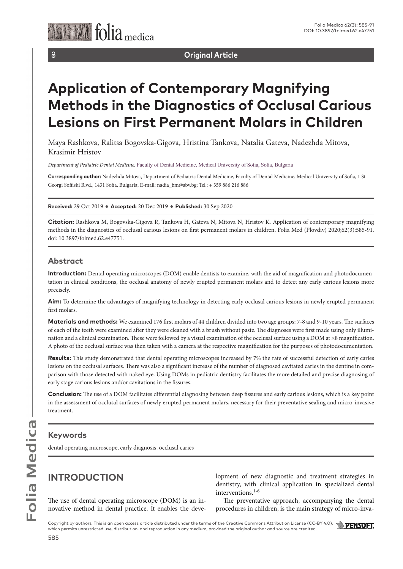

 $\partial$ 

**Original Article**

# **Application of Contemporary Magnifying Methods in the Diagnostics of Occlusal Carious Lesions on First Permanent Molars in Children**

Maya Rashkova, Ralitsa Bogovska-Gigova, Hristina Tankova, Natalia Gateva, Nadezhda Mitova, Krasimir Hristov

*Department of Pediatric Dental Medicine,* Faculty of Dental Medicine, Medical University of Sofia, Sofia, Bulgaria

**Corresponding author:** Nadezhda Mitova, Department of Pediatric Dental Medicine, Faculty of Dental Medicine, Medical University of Sofia, 1 St Georgi Sofiiski Blvd., 1431 Sofia, Bulgaria; E-mail: nadia\_bm@abv.bg; Tel.: + 359 886 216 886

**Received:** 29 Oct 2019 ♦ **Accepted:** 20 Dec 2019 ♦ **Published:** 30 Sep 2020

**Citation:** Rashkova M, Bogovska-Gigova R, Tankova H, Gateva N, Mitova N, Hristov K. Application of contemporary magnifying methods in the diagnostics of occlusal carious lesions on first permanent molars in children. Folia Med (Plovdiv) 2020;62(3):585-91. doi: 10.3897/folmed.62.e47751.

### **Abstract**

**Introduction:** Dental operating microscopes (DOM) enable dentists to examine, with the aid of magnification and photodocumentation in clinical conditions, the occlusal anatomy of newly erupted permanent molars and to detect any early carious lesions more precisely.

**Aim:** To determine the advantages of magnifying technology in detecting early occlusal carious lesions in newly erupted permanent first molars.

**Materials and methods:** We examined 176 first molars of 44 children divided into two age groups: 7-8 and 9-10 years. The surfaces of each of the teeth were examined after they were cleaned with a brush without paste. The diagnoses were first made using only illumination and a clinical examination. These were followed by a visual examination of the occlusal surface using a DOM at ×8 magnification. A photo of the occlusal surface was then taken with a camera at the respective magnification for the purposes of photodocumentation.

**Results:** This study demonstrated that dental operating microscopes increased by 7% the rate of successful detection of early caries lesions on the occlusal surfaces. There was also a significant increase of the number of diagnosed cavitated caries in the dentine in comparison with those detected with naked eye. Using DOMs in pediatric dentistry facilitates the more detailed and precise diagnosing of early stage carious lesions and/or cavitations in the fissures.

**Conclusion:** The use of a DOM facilitates differential diagnosing between deep fissures and early carious lesions, which is a key point in the assessment of occlusal surfaces of newly erupted permanent molars, necessary for their preventative sealing and micro-invasive treatment.

## **Keywords**

dental operating microscope, early diagnosis, occlusal caries

## **INTRODUCTION**

The use of dental operating microscope (DOM) is an innovative method in dental practice. It enables the development of new diagnostic and treatment strategies in dentistry, with clinical application in specialized dental interventions.1-6

The preventative approach, accompanying the dental procedures in children, is the main strategy of micro-inva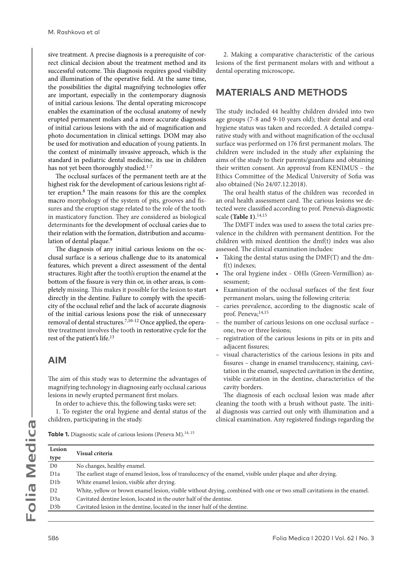sive treatment. A precise diagnosis is a prerequisite of correct clinical decision about the treatment method and its successful outcome. This diagnosis requires good visibility and illumination of the operative field. At the same time, the possibilities the digital magnifying technologies offer are important, especially in the contemporary diagnosis of initial carious lesions. The dental operating microscope enables the examination of the occlusal anatomy of newly erupted permanent molars and a more accurate diagnosis of initial carious lesions with the aid of magnification and photo documentation in clinical settings. DOM may also be used for motivation and education of young patients. In the context of minimally invasive approach, which is the standard in pediatric dental medicine, its use in children has not yet been thoroughly studied.<sup>1-7</sup>

The occlusal surfaces of the permanent teeth are at the highest risk for the development of carious lesions right after eruption.8 The main reasons for this are the complex macro morphology of the system of pits, grooves and fissures and the eruption stage related to the role of the tooth in masticatory function. They are considered as biological determinants for the development of occlusal caries due to their relation with the formation, distribution and accumulation of dental plaque.<sup>9</sup>

The diagnosis of any initial carious lesions on the occlusal surface is a serious challenge due to its anatomical features, which prevent a direct assessment of the dental structures. Right after the tooth's eruption the enamel at the bottom of the fissure is very thin or, in other areas, is completely missing. This makes it possible for the lesion to start directly in the dentine. Failure to comply with the specificity of the occlusal relief and the lack of accurate diagnosis of the initial carious lesions pose the risk of unnecessary removal of dental structures.<sup>7,10-12</sup> Once applied, the operative treatment involves the tooth in restorative cycle for the rest of the patient's life.<sup>13</sup>

### **AIM**

The aim of this study was to determine the advantages of magnifying technology in diagnosing early occlusal carious lesions in newly erupted permanent first molars.

In order to achieve this, the following tasks were set:

1. To register the oral hygiene and dental status of the children, participating in the study.

2. Making a comparative characteristic of the carious lesions of the first permanent molars with and without a dental operating microscope**.**

## **MATERIALS AND METHODS**

The study included 44 healthy children divided into two age groups (7-8 and 9-10 years old); their dental and oral hygiene status was taken and recorded. A detailed comparative study with and without magnification of the occlusal surface was performed on 176 first permanent molars. The children were included in the study after explaining the aims of the study to their parents/guardians and obtaining their written consent. An approval from KENIMUS – the Ethics Committee of the Medical University of Sofia was also obtained (No 24/07.12.2018).

The oral health status of the children was recorded in an oral health assessment card. The carious lesions we detected were classified according to prof. Peneva's diagnostic scale **(Table 1)**. 14,15

The DMFT index was used to assess the total caries prevalence in the children with permanent dentition. For the children with mixed dentition the dmf(t) index was also assessed. The clinical examination includes:

- Taking the dental status using the DMF(T) and the dmf(t) indexes;
- The oral hygiene index OHIs (Green-Vermillion) assessment;
- Examination of the occlusal surfaces of the first four permanent molars, using the following criteria:
- caries prevalence, according to the diagnostic scale of prof. Peneva;14,15
- the number of carious lesions on one occlusal surface one, two or three lesions;
- registration of the carious lesions in pits or in pits and adjacent fissures;
- visual characteristics of the carious lesions in pits and fissures – change in enamel translucency, staining, cavitation in the enamel, suspected cavitation in the dentine, visible cavitation in the dentine, characteristics of the cavity borders.

The diagnosis of each occlusal lesion was made after cleaning the tooth with a brush without paste. The initial diagnosis was carried out only with illumination and a clinical examination. Any registered findings regarding the

**Table 1.** Diagnostic scale of carious lesions (Peneva M).<sup>14, 15</sup>

| Lesion<br>type   | <b>Visual criteria</b>                                                                                                  |
|------------------|-------------------------------------------------------------------------------------------------------------------------|
| D <sub>0</sub>   | No changes, healthy enamel.                                                                                             |
| D <sub>1</sub> a | The earliest stage of enamel lesion, loss of translucency of the enamel, visible under plaque and after drying.         |
| D1b              | White enamel lesion, visible after drying.                                                                              |
| D2               | White, yellow or brown enamel lesion, visible without drying, combined with one or two small cavitations in the enamel. |
| D <sub>3</sub> a | Cavitated dentine lesion, located in the outer half of the dentine.                                                     |
| D <sub>3</sub> b | Cavitated lesion in the dentine, located in the inner half of the dentine.                                              |
|                  |                                                                                                                         |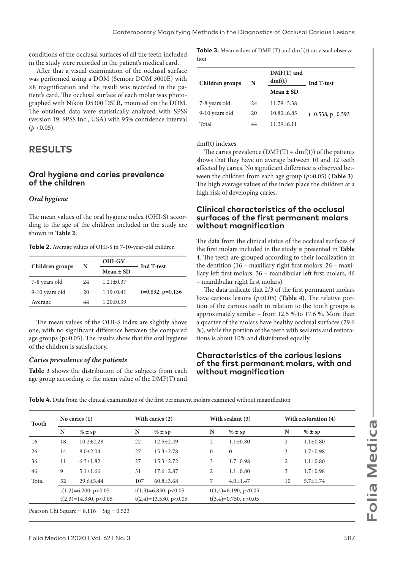conditions of the occlusal surfaces of all the teeth included in the study were recorded in the patient's medical card.

After that a visual examination of the occlusal surface was performed using a DOM (Semorr DOM 3000E) with ×8 magnification and the result was recorded in the patient's card. The occlusal surface of each molar was photographed with Nikon D5300 DSLR, mounted on the DOM. The obtained data were statistically analyzed with SPSS (version 19, SPSS Inc., USA) with 95% confidence interval  $(p \le 0.05)$ .

## **RESULTS**

#### **Oral hygiene and caries prevalence of the children**

#### *Oral hygiene*

The mean values of the oral hygiene index (OHI-S) according to the age of the children included in the study are shown in **Table 2.**

**Table 2.** Average values of OHI-S in 7-10-year-old children

|    | <b>OHI-GV</b>   | Ind T-test            |  |  |
|----|-----------------|-----------------------|--|--|
|    | $Mean \pm SD$   |                       |  |  |
| 24 | $1.21 \pm 0.37$ |                       |  |  |
| 20 | $1.19 \pm 0.41$ | $t=0.892$ , $p=0.136$ |  |  |
| 44 | $1.20 \pm 0.39$ |                       |  |  |
|    | N               |                       |  |  |

The mean values of the OHI-S index are slightly above one, with no significant difference between the compared age groups (p>0.05). The results show that the oral hygiene of the children is satisfactory.

#### *Caries prevalence of the patients*

**Table 3** shows the distribution of the subjects from each age group according to the mean value of the DMF(T) and

**Table 3.** Mean values of DMF (T) and dmf (t) on visual observation

| Children groups | N   | $DMF(T)$ and<br>dmf(t) | <b>Ind T-test</b>     |  |
|-----------------|-----|------------------------|-----------------------|--|
|                 |     | Mean $\pm$ SD          |                       |  |
| 7-8 years old   | 2.4 | $11.79 \pm 5.38$       |                       |  |
| 9-10 years old  | 20  | $10.80 \pm 6.85$       | $t=0.538$ , $p=0.593$ |  |
| Total           | 44  | $11.29 \pm 6.11$       |                       |  |

dmf(t) indexes.

The caries prevalence  $(DMF(T) + dmf(t))$  of the patients shows that they have on average between 10 and 12 teeth affected by caries. No significant difference is observed between the children from each age group (*p*>0.05) **(Table 3)**. The high average values of the index place the children at a high risk of developing caries.

#### **Clinical characteristics of the occlusal surfaces of the first permanent molars without magnification**

The data from the clinical status of the occlusal surfaces of the first molars included in the study is presented in **Table 4**. The teeth are grouped according to their localization in the dentition (16 – maxillary right first molars, 26 – maxillary left first molars, 36 – mandibular left first molars, 46 – mandibular right first molars).

The data indicate that 2/3 of the first permanent molars have carious lesions (*p*<0.05) **(Table 4)**. The relative portion of the carious teeth in relation to the tooth groups is approximately similar – from 12.5 % to 17.6 %. More than a quarter of the molars have healthy occlusal surfaces (29.6 %), while the portion of the teeth with sealants and restorations is about 10% and distributed equally.

#### **Characteristics of the carious lesions of the first permanent molars, with and without magnification**

**No caries (1) With caries (2) With sealant (3) With restoration (4) Note that the CO With restoration (4) With restoration (4) Note that the CO With restoration (4) With restoration (4) With restoratio N % ± sp N % ± sp N % ± sp N % ± sp** 16 18 10.2±2.28 22 12.5±2.49 2 1.1±0.80 2 1.1±0.80 26 14 8.0±2.04 27 15.3±2.78 0 0 3 1.7±0.98 36 11 6.3±1.82 27 15.3±2.72 3 1.7±0.98 2 1.1±0.80 46 9 5.1±1.66 31 17.6±2.87 2 1.1±0.80 3 1.7±0.98 Total 52 29.6±3.44 107 60.8±3.68 7 4.0±1.47 10 5.7±1.74  $t(1,2)=6.200, p<0.05$  $t(2,3)=14.330, p<0.05$  $t(1,3)=6.830, p<0.05$  $t(2,4)=13.530, p<0.05$  $t(1,4)=6.190, p<0.05$ t(3,4)=0.750, *p*>0.05

**Table 4.** Data from the clinical examination of the first permanent molars examined without magnification

Pearson Chi Square =  $8.116$  Sig =  $0.523$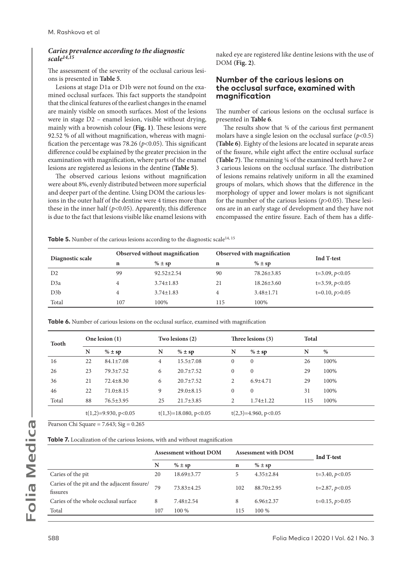#### *Caries prevalence according to the diagnostic scale14,15*

The assessment of the severity of the occlusal carious lesions is presented in **Table 5**.

Lesions at stage D1a or D1b were not found on the examined occlusal surfaces. This fact supports the standpoint that the clinical features of the earliest changes in the enamel are mainly visible on smooth surfaces. Most of the lesions were in stage D2 – enamel lesion, visible without drying, mainly with a brownish colour **(Fig. 1)**. These lesions were 92.52 % of all without magnification, whereas with magnification the percentage was 78.26 ( $p$ <0.05). This significant difference could be explained by the greater precision in the examination with magnification, where parts of the enamel lesions are registered as lesions in the dentine **(Table 5)**.

The observed carious lesions without magnification were about 8%, evenly distributed between more superficial and deeper part of the dentine. Using DOM the carious lesions in the outer half of the dentine were 4 times more than these in the inner half  $(p<0.05)$ . Apparently, this difference is due to the fact that lesions visible like enamel lesions with naked eye are registered like dentine lesions with the use of DOM **(Fig. 2)**.

#### **Number of the carious lesions on the occlusal surface, examined with magnification**

The number of carious lesions on the occlusal surface is presented in **Table 6**.

The results show that  $\frac{3}{4}$  of the carious first permanent molars have a single lesion on the occlusal surface (*p*<0.5) **(Table 6)**. Eighty of the lesions are located in separate areas of the fissure, while eight affect the entire occlusal surface **(Table 7)**. The remaining ¼ of the examined teeth have 2 or 3 carious lesions on the occlusal surface. The distribution of lesions remains relatively uniform in all the examined groups of molars, which shows that the difference in the morphology of upper and lower molars is not significant for the number of the carious lesions (*p*>0.05). These lesions are in an early stage of development and they have not encompassed the entire fissure. Each of them has a diffe-

**Table 5.** Number of the carious lesions according to the diagnostic scale<sup>14, 15</sup>

|                  |     | Observed without magnification | Observed with magnification |                  | Ind T-test       |  |
|------------------|-----|--------------------------------|-----------------------------|------------------|------------------|--|
| Diagnostic scale | n   | $\% \pm sp$                    | n                           | $\% \pm sp$      |                  |  |
| D <sub>2</sub>   | 99  | $92.52 \pm 2.54$               | 90                          | 78.26±3.85       | $t=3.09, p<0.05$ |  |
| D <sub>3</sub> a | 4   | $3.74 \pm 1.83$                | 21                          | $18.26 \pm 3.60$ | $t=3.59, p<0.05$ |  |
| D3b              | 4   | $3.74 \pm 1.83$                |                             | $3.48 \pm 1.71$  | $t=0.10, p>0.05$ |  |
| Total            | 107 | 100\%                          | 115                         | 100\%            |                  |  |

**Table 6.** Number of carious lesions on the occlusal surface, examined with magnification

| <b>Tooth</b> |    | One lesion $(1)$       |    | Two lesions (2)         |              | Three lesions (3)      |     | <b>Total</b> |  |
|--------------|----|------------------------|----|-------------------------|--------------|------------------------|-----|--------------|--|
|              | N  | $\% \pm sp$            | N  | $\% \pm sp$             | N            | $\% \pm sp$            | N   | %            |  |
| 16           | 22 | $84.1 \pm 7.08$        | 4  | $15.5 \pm 7.08$         | 0            | $\overline{0}$         | 26  | 100%         |  |
| 26           | 23 | $79.3 \pm 7.52$        | 6  | $20.7 \pm 7.52$         | $\mathbf{0}$ | $\mathbf{0}$           | 29  | 100%         |  |
| 36           | 21 | $72.4 \pm 8.30$        | 6  | $20.7 \pm 7.52$         | 2            | $6.9{\pm}4.71$         | 29  | 100%         |  |
| 46           | 22 | $71.0 \pm 8.15$        | 9  | $29.0 \pm 8.15$         | 0            | $\mathbf{0}$           | 31  | 100%         |  |
| Total        | 88 | 76.5±3.95              | 25 | $21.7 \pm 3.85$         | 2            | $1.74 \pm 1.22$        | 115 | 100%         |  |
|              |    | $t(1,2)=9.930, p<0.05$ |    | $t(1,3)=18.080, p<0.05$ |              | $t(2,3)=4.960, p<0.05$ |     |              |  |

Pearson Chi Square =  $7.643$ ; Sig =  $0.265$ 

**Table 7.** Localization of the carious lesions, with and without magnification

|                                                         | <b>Assessment without DOM</b> |                  | <b>Assessment with DOM</b> |                  | <b>Ind T-test</b> |
|---------------------------------------------------------|-------------------------------|------------------|----------------------------|------------------|-------------------|
|                                                         | N                             | $\% \pm sp$      | n                          | $\% \pm sp$      |                   |
| Caries of the pit                                       | 20                            | $18.69 \pm 3.77$ | 5                          | $4.35 \pm 2.84$  | $t=3.40, p<0.05$  |
| Caries of the pit and the adjacent fissure/<br>fissures | 79                            | $73.83 \pm 4.25$ | 102                        | $88.70 \pm 2.95$ | $t=2.87, p<0.05$  |
| Caries of the whole occlusal surface                    | 8                             | $7.48 \pm 2.54$  | 8                          | $6.96 \pm 2.37$  | $t=0.15, p>0.05$  |
| Total                                                   | 107                           | 100 %            | 115                        | 100 %            |                   |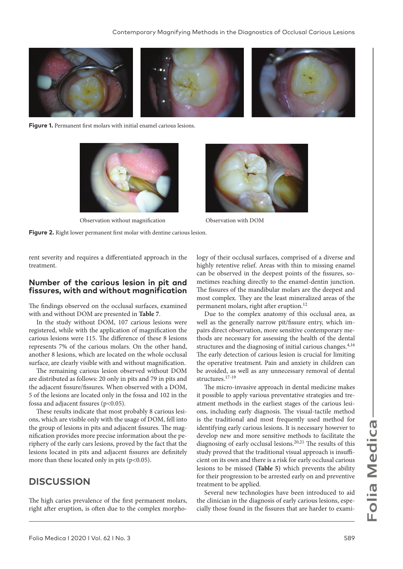

**Figure 1.** Permanent first molars with initial enamel carious lesions.



Observation without magnification Observation with DOM

**Figure 2.** Right lower permanent first molar with dentine carious lesion.



rent severity and requires a differentiated approach in the treatment.

#### **Number of the carious lesion in pit and fissures, with and without magnification**

The findings observed on the occlusal surfaces, examined with and without DOM are presented in **Table 7**.

In the study without DOM, 107 carious lesions were registered, while with the application of magnification the carious lesions were 115. The difference of these 8 lesions represents 7% of the carious molars. On the other hand, another 8 lesions, which are located on the whole occlusal surface, are clearly visible with and without magnification.

The remaining carious lesion observed without DOM are distributed as follows: 20 only in pits and 79 in pits and the adjacent fissure/fissures. When observed with a DOM, 5 of the lesions are located only in the fossa and 102 in the fossa and adjacent fissures (p<0.05).

These results indicate that most probably 8 carious lesions, which are visible only with the usage of DOM, fell into the group of lesions in pits and adjacent fissures. The magnification provides more precise information about the periphery of the early cars lesions, proved by the fact that the lesions located in pits and adjacent fissures are definitely more than these located only in pits (p<0.05).

## **DISCUSSION**

The high caries prevalence of the first permanent molars, right after eruption, is often due to the complex morphology of their occlusal surfaces, comprised of a diverse and highly retentive relief. Areas with thin to missing enamel can be observed in the deepest points of the fissures, sometimes reaching directly to the enamel-dentin junction. The fissures of the mandibular molars are the deepest and most complex. They are the least mineralized areas of the permanent molars, right after eruption.<sup>12</sup>

Due to the complex anatomy of this occlusal area, as well as the generally narrow pit/fissure entry, which impairs direct observation, more sensitive contemporary methods are necessary for assessing the health of the dental structures and the diagnosing of initial carious changes.<sup>4,16</sup> The early detection of carious lesion is crucial for limiting the operative treatment. Pain and anxiety in children can be avoided, as well as any unnecessary removal of dental structures.17-19

The micro-invasive approach in dental medicine makes it possible to apply various preventative strategies and treatment methods in the earliest stages of the carious lesions, including early diagnosis. The visual-tactile method is the traditional and most frequently used method for identifying early carious lesions. It is necessary however to develop new and more sensitive methods to facilitate the diagnosing of early occlusal lesions.<sup>20,21</sup> The results of this study proved that the traditional visual approach is insufficient on its own and there is a risk for early occlusal carious lesions to be missed **(Table 5)** which prevents the ability for their progression to be arrested early on and preventive treatment to be applied.

Several new technologies have been introduced to aid the clinician in the diagnosis of early carious lesions, especially those found in the fissures that are harder to exami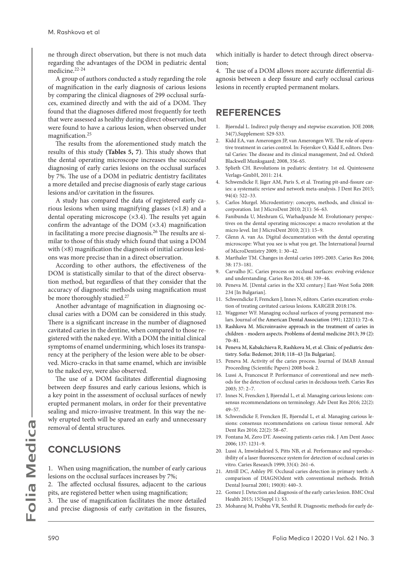ne through direct observation, but there is not much data regarding the advantages of the DOM in pediatric dental medicine.22-24

A group of authors conducted a study regarding the role of magnification in the early diagnosis of carious lesions by comparing the clinical diagnoses of 299 occlusal surfaces, examined directly and with the aid of a DOM. They found that the diagnoses differed most frequently for teeth that were assessed as healthy during direct observation, but were found to have a carious lesion, when observed under magnification.<sup>25</sup>

The results from the aforementioned study match the results of this study **(Tables 5, 7)**. This study shows that the dental operating microscope increases the successful diagnosing of early caries lesions on the occlusal surfaces by 7%. The use of a DOM in pediatric dentistry facilitates a more detailed and precise diagnosis of early stage carious lesions and/or cavitation in the fissures.

A study has compared the data of registered early carious lesions when using magnifying glasses  $(x1.8)$  and a dental operating microscope (×3.4). The results yet again confirm the advantage of the DOM  $(x3.4)$  magnification in facilitating a more precise diagnosis.26 The results are similar to those of this study which found that using a DOM with  $(x8)$  magnification the diagnosis of initial carious lesions was more precise than in a direct observation.

According to other authors, the effectiveness of the DOM is statistically similar to that of the direct observation method, but regardless of that they consider that the accuracy of diagnostic methods using magnification must be more thoroughly studied.<sup>27</sup>

Another advantage of magnification in diagnosing occlusal caries with a DOM can be considered in this study. There is a significant increase in the number of diagnosed cavitated caries in the dentine, when compared to those registered with the naked eye. With a DOM the initial clinical symptoms of enamel undermining, which loses its transparency at the periphery of the lesion were able to be observed. Micro-cracks in that same enamel, which are invisible to the naked eye, were also observed.

The use of a DOM facilitates differential diagnosing between deep fissures and early carious lesions, which is a key point in the assessment of occlusal surfaces of newly erupted permanent molars, in order for their preventative sealing and micro-invasive treatment. In this way the newly erupted teeth will be spared an early and unnecessary removal of dental structures.

## **CONCLUSIONS**

1. When using magnification, the number of early carious lesions on the occlusal surfaces increases by 7%;

2. The affected occlusal fissures, adjacent to the carious pits, are registered better when using magnification;

3. The use of magnification facilitates the more detailed and precise diagnosis of early cavitation in the fissures,

which initially is harder to detect through direct observation;

4. The use of a DOM allows more accurate differential diagnosis between a deep fissure and early occlusal carious lesions in recently erupted permanent molars.

## **REFERENCES**

- 1. Bjørndal L. Indirect pulp therapy and stepwise excavation. JOE 2008; 34(7),Supplement: S29-S33.
- 2. Kidd EA, van Amerongen JP, van Amerongen WE. The role of operative treatment in caries control. In: Fejerskov O, Kidd E, editors. Dental Caries: The disease and its clinical management, 2nd ed. Oxford: Blackwell Munksgaard; 2008, 356-65.
- 3. Splieth CH. Revolutions in pediatric dentistry. 1st ed. Quintessenz Verlags-GmbH, 2011: 214.
- 4. Schwendicke F, Jäger AM, Paris S, et al. Treating pit-and-fissure caries: a systematic review and network meta-analysis. J Dent Res 2015; 94(4): 522–33.
- 5. Carlos Murgel. Microdentistry: concepts, methods, and clinical incorporation. Int J MicroDent 2010; 2(1): 56–63.
- 6. Fanibunda U, Meshram G, Warhadpande M. Evolutionary perspectives on the dental operating microscope: a macro revolution at the micro level. Int J MicroDent 2010; 2(1): 15–9.
- 7. Glenn A. van As. Digital documentation with the dental operating microscope: What you see is what you get. The International Journal of MicroDentistry 2009; 1: 30–42.
- 8. Marthaler TM. Changes in dental caries 1095-2003. Caries Res 2004; 38: 173–181.
- 9. Carvalho JC. Caries process on occlusal surfaces: evolving evidence and understanding. Caries Res 2014; 48: 339–46.
- 10. Peneva М. [Dental caries in the XXI century.] East-West Sofia 2008: 234 [In Bulgarian].
- 11. Schwendicke F, Frencken J, Innes N, editors. Caries excavation: evolution of treating cavitated carious lesions. KARGER 2018:176.
- 12. Waggoner WF. Managing occlusal surfaces of young permanent molars. Journal of the American Dental Association 1991; 122(11): 72–6.
- 13. Rashkova M. Microinvasive approach in the treatment of caries in children - modern aspects. Problems of dental medicine 2013; 39 (2): 70–81.
- 14. Peneva M, Kabakchieva R, Rashkova M, et al. Clinic of pediatric dentistry. Sofia: Bedemot; 2018; 118–43 [In Bulgarian].
- 15. Peneva M. Activity of the caries process. Journal of IMAB Annual Proceeding (Scientific Papers) 2008 book 2.
- 16. Lussi A, Francescut P. Performance of conventional and new methods for the detection of occlusal caries in deciduous teeth. Caries Res 2003; 37: 2–7.
- 17. Innes N, Frencken J, Bjørndal L, et al. Managing carious lesions: consensus recommendations on terminology. Adv Dent Res 2016; 22(2): 49–57.
- 18. Schwendicke F, Frencken JE, Bjørndal L, et al. Managing carious lesions: consensus recommendations on carious tissue removal. Adv Dent Res 2016; 22(2): 58–67.
- 19. Fontana M, Zero DT. Assessing patients caries risk. J Am Dent Assoc 2006; 137: 1231–9.
- 20. Lussi A, Imwinkelried S, Pitts NB, et al. Performance and reproducibility of a laser fluorescence system for detection of occlusal caries in vitro. Caries Research 1999; 33(4): 261–6.
- 21. Attrill DC, Ashley PF. Occlusal caries detection in primary teeth: A comparison of DIAGNOdent with conventional methods. British Dental Journal 2001; 190(8): 440–3.
- 22. Gomez J. Detection and diagnosis of the early caries lesion. BMC Oral Health 2015; 15(Suppl 1): S3.
- 23. Mohanraj M, Prabhu VR, Senthil R. Diagnostic methods for early de-